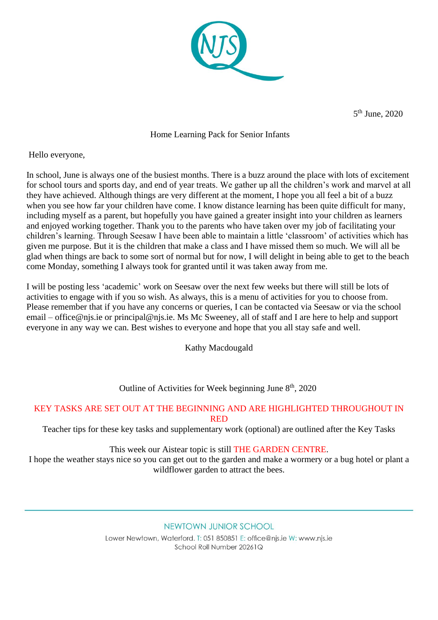

5<sup>th</sup> June, 2020

## Home Learning Pack for Senior Infants

Hello everyone,

In school, June is always one of the busiest months. There is a buzz around the place with lots of excitement for school tours and sports day, and end of year treats. We gather up all the children's work and marvel at all they have achieved. Although things are very different at the moment, I hope you all feel a bit of a buzz when you see how far your children have come. I know distance learning has been quite difficult for many, including myself as a parent, but hopefully you have gained a greater insight into your children as learners and enjoyed working together. Thank you to the parents who have taken over my job of facilitating your children's learning. Through Seesaw I have been able to maintain a little 'classroom' of activities which has given me purpose. But it is the children that make a class and I have missed them so much. We will all be glad when things are back to some sort of normal but for now, I will delight in being able to get to the beach come Monday, something I always took for granted until it was taken away from me.

I will be posting less 'academic' work on Seesaw over the next few weeks but there will still be lots of activities to engage with if you so wish. As always, this is a menu of activities for you to choose from. Please remember that if you have any concerns or queries, I can be contacted via Seesaw or via the school email – office@njs.ie or principal@njs.ie. Ms Mc Sweeney, all of staff and I are here to help and support everyone in any way we can. Best wishes to everyone and hope that you all stay safe and well.

Kathy Macdougald

Outline of Activities for Week beginning June 8<sup>th</sup>, 2020

## KEY TASKS ARE SET OUT AT THE BEGINNING AND ARE HIGHLIGHTED THROUGHOUT IN RED

Teacher tips for these key tasks and supplementary work (optional) are outlined after the Key Tasks

This week our Aistear topic is still THE GARDEN CENTRE.

I hope the weather stays nice so you can get out to the garden and make a wormery or a bug hotel or plant a wildflower garden to attract the bees.

NEWTOWN JUNIOR SCHOOL

Lower Newtown, Waterford, T: 051 850851 E: office@nis.ie W: www.nis.ie School Roll Number 20261Q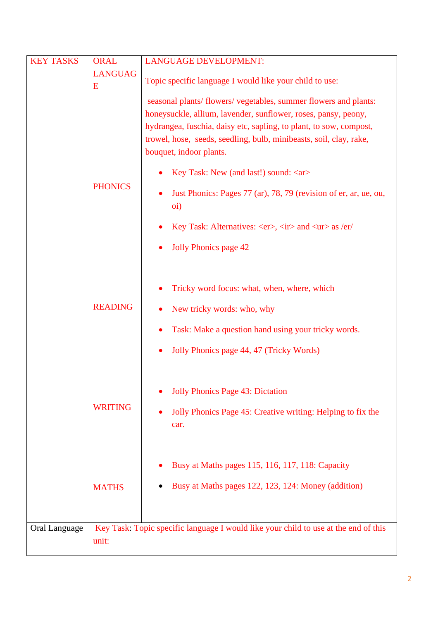| <b>KEY TASKS</b> | <b>ORAL</b>    | <b>LANGUAGE DEVELOPMENT:</b>                                                        |
|------------------|----------------|-------------------------------------------------------------------------------------|
|                  | <b>LANGUAG</b> |                                                                                     |
|                  | E              | Topic specific language I would like your child to use:                             |
|                  |                | seasonal plants/ flowers/ vegetables, summer flowers and plants:                    |
|                  |                |                                                                                     |
|                  |                | honeysuckle, allium, lavender, sunflower, roses, pansy, peony,                      |
|                  |                | hydrangea, fuschia, daisy etc, sapling, to plant, to sow, compost,                  |
|                  |                | trowel, hose, seeds, seedling, bulb, minibeasts, soil, clay, rake,                  |
|                  |                | bouquet, indoor plants.                                                             |
|                  |                | Key Task: New (and last!) sound: <ar></ar>                                          |
|                  | <b>PHONICS</b> |                                                                                     |
|                  |                | Just Phonics: Pages 77 (ar), 78, 79 (revision of er, ar, ue, ou,                    |
|                  |                | oi)                                                                                 |
|                  |                | Key Task: Alternatives: <er>, <ir> and <ur> as /er/</ur></ir></er>                  |
|                  |                |                                                                                     |
|                  |                | <b>Jolly Phonics page 42</b>                                                        |
|                  |                |                                                                                     |
|                  |                |                                                                                     |
|                  |                | Tricky word focus: what, when, where, which                                         |
|                  | <b>READING</b> | New tricky words: who, why                                                          |
|                  |                |                                                                                     |
|                  |                | Task: Make a question hand using your tricky words.                                 |
|                  |                | Jolly Phonics page 44, 47 (Tricky Words)                                            |
|                  |                |                                                                                     |
|                  |                |                                                                                     |
|                  |                | <b>Jolly Phonics Page 43: Dictation</b>                                             |
|                  |                |                                                                                     |
|                  | <b>WRITING</b> | Jolly Phonics Page 45: Creative writing: Helping to fix the                         |
|                  |                | car.                                                                                |
|                  |                |                                                                                     |
|                  |                |                                                                                     |
|                  |                | Busy at Maths pages 115, 116, 117, 118: Capacity                                    |
|                  |                |                                                                                     |
|                  | <b>MATHS</b>   | Busy at Maths pages 122, 123, 124: Money (addition)                                 |
|                  |                |                                                                                     |
|                  |                |                                                                                     |
| Oral Language    |                | Key Task: Topic specific language I would like your child to use at the end of this |
|                  | unit:          |                                                                                     |
|                  |                |                                                                                     |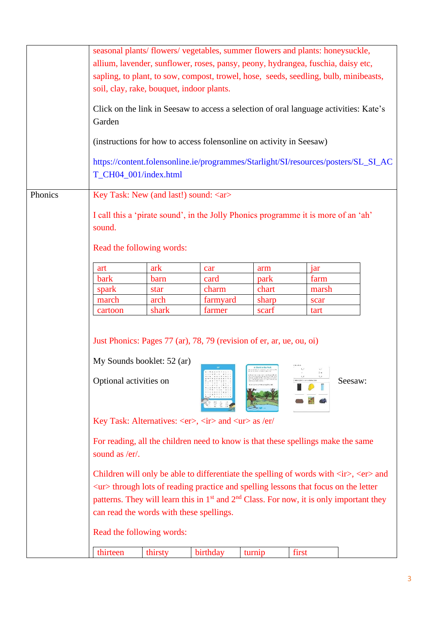|         | seasonal plants/ flowers/ vegetables, summer flowers and plants: honeysuckle,                                                           |         |          |                                                   |       |                                                                                                                        |
|---------|-----------------------------------------------------------------------------------------------------------------------------------------|---------|----------|---------------------------------------------------|-------|------------------------------------------------------------------------------------------------------------------------|
|         | allium, lavender, sunflower, roses, pansy, peony, hydrangea, fuschia, daisy etc,                                                        |         |          |                                                   |       |                                                                                                                        |
|         | sapling, to plant, to sow, compost, trowel, hose, seeds, seedling, bulb, minibeasts,                                                    |         |          |                                                   |       |                                                                                                                        |
|         | soil, clay, rake, bouquet, indoor plants.                                                                                               |         |          |                                                   |       |                                                                                                                        |
|         |                                                                                                                                         |         |          |                                                   |       |                                                                                                                        |
|         | Click on the link in Seesaw to access a selection of oral language activities: Kate's                                                   |         |          |                                                   |       |                                                                                                                        |
|         | Garden                                                                                                                                  |         |          |                                                   |       |                                                                                                                        |
|         |                                                                                                                                         |         |          |                                                   |       |                                                                                                                        |
|         | (instructions for how to access folensonline on activity in Seesaw)                                                                     |         |          |                                                   |       |                                                                                                                        |
|         |                                                                                                                                         |         |          |                                                   |       | https://content.folensonline.ie/programmes/Starlight/SI/resources/posters/SL_SI_AC                                     |
|         | T_CH04_001/index.html                                                                                                                   |         |          |                                                   |       |                                                                                                                        |
|         |                                                                                                                                         |         |          |                                                   |       |                                                                                                                        |
| Phonics | Key Task: New (and last!) sound: <ar></ar>                                                                                              |         |          |                                                   |       |                                                                                                                        |
|         | I call this a 'pirate sound', in the Jolly Phonics programme it is more of an 'ah'                                                      |         |          |                                                   |       |                                                                                                                        |
|         | sound.                                                                                                                                  |         |          |                                                   |       |                                                                                                                        |
|         |                                                                                                                                         |         |          |                                                   |       |                                                                                                                        |
|         | Read the following words:                                                                                                               |         |          |                                                   |       |                                                                                                                        |
|         | art                                                                                                                                     | ark     | car      | arm                                               | jar   |                                                                                                                        |
|         | bark                                                                                                                                    | barn    | card     | park                                              | farm  |                                                                                                                        |
|         | spark                                                                                                                                   | star    | charm    | chart                                             | marsh |                                                                                                                        |
|         | march                                                                                                                                   | arch    | farmyard | sharp                                             | scar  |                                                                                                                        |
|         | cartoon                                                                                                                                 | shark   | farmer   | scarf                                             | tart  |                                                                                                                        |
|         |                                                                                                                                         |         |          |                                                   |       |                                                                                                                        |
|         | Just Phonics: Pages 77 (ar), 78, 79 (revision of er, ar, ue, ou, oi)                                                                    |         |          |                                                   |       |                                                                                                                        |
|         |                                                                                                                                         |         |          |                                                   |       |                                                                                                                        |
|         | My Sounds booklet: 52 (ar)                                                                                                              |         |          |                                                   |       |                                                                                                                        |
|         |                                                                                                                                         |         |          | A Shork in the Park<br>Court-Man Latera and Calle | Fin.  |                                                                                                                        |
|         | Optional activities on                                                                                                                  |         |          |                                                   |       | Seesaw:                                                                                                                |
|         |                                                                                                                                         |         |          |                                                   |       |                                                                                                                        |
|         |                                                                                                                                         |         |          |                                                   |       |                                                                                                                        |
|         | Key Task: Alternatives: <er>, <ir> and <ur> as /er/</ur></ir></er>                                                                      |         |          |                                                   |       |                                                                                                                        |
|         |                                                                                                                                         |         |          |                                                   |       |                                                                                                                        |
|         | For reading, all the children need to know is that these spellings make the same                                                        |         |          |                                                   |       |                                                                                                                        |
|         | sound as /er/.                                                                                                                          |         |          |                                                   |       |                                                                                                                        |
|         |                                                                                                                                         |         |          |                                                   |       | Children will only be able to differentiate the spelling of words with $\langle ir \rangle$ , $\langle er \rangle$ and |
|         | $\langle$ ur $\rangle$ through lots of reading practice and spelling lessons that focus on the letter                                   |         |          |                                                   |       |                                                                                                                        |
|         |                                                                                                                                         |         |          |                                                   |       |                                                                                                                        |
|         | patterns. They will learn this in $1st$ and $2nd$ Class. For now, it is only important they<br>can read the words with these spellings. |         |          |                                                   |       |                                                                                                                        |
|         | Read the following words:                                                                                                               |         |          |                                                   |       |                                                                                                                        |
|         |                                                                                                                                         |         |          |                                                   |       |                                                                                                                        |
|         | thirteen                                                                                                                                | thirsty | birthday | turnip                                            | first |                                                                                                                        |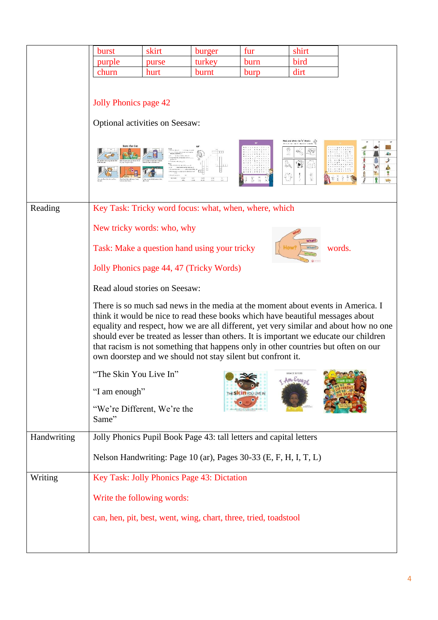|             | burst                                                                                                                                                                                                                                                                                                                                                                                                                                                                                                                                                                                                                                                                          | skirt | burger | fur  | shirt   |                  |
|-------------|--------------------------------------------------------------------------------------------------------------------------------------------------------------------------------------------------------------------------------------------------------------------------------------------------------------------------------------------------------------------------------------------------------------------------------------------------------------------------------------------------------------------------------------------------------------------------------------------------------------------------------------------------------------------------------|-------|--------|------|---------|------------------|
|             | purple                                                                                                                                                                                                                                                                                                                                                                                                                                                                                                                                                                                                                                                                         | purse | turkey | burn | bird    |                  |
|             | churn                                                                                                                                                                                                                                                                                                                                                                                                                                                                                                                                                                                                                                                                          | hurt  | burnt  | burp | dirt    |                  |
|             | Jolly Phonics page 42<br>Optional activities on Seesaw:                                                                                                                                                                                                                                                                                                                                                                                                                                                                                                                                                                                                                        |       | 111    |      | m<br>高量 | <b>Sec.</b><br>Ź |
| Reading     | Key Task: Tricky word focus: what, when, where, which                                                                                                                                                                                                                                                                                                                                                                                                                                                                                                                                                                                                                          |       |        |      |         |                  |
|             | New tricky words: who, why                                                                                                                                                                                                                                                                                                                                                                                                                                                                                                                                                                                                                                                     |       |        |      |         |                  |
|             | <b>What?</b><br>Task: Make a question hand using your tricky<br>words.<br><b>When</b><br>Jolly Phonics page 44, 47 (Tricky Words)<br>Read aloud stories on Seesaw:<br>There is so much sad news in the media at the moment about events in America. I<br>think it would be nice to read these books which have beautiful messages about<br>equality and respect, how we are all different, yet very similar and about how no one<br>should ever be treated as lesser than others. It is important we educate our children<br>that racism is not something that happens only in other countries but often on our<br>own doorstep and we should not stay silent but confront it. |       |        |      |         |                  |
|             |                                                                                                                                                                                                                                                                                                                                                                                                                                                                                                                                                                                                                                                                                |       |        |      |         |                  |
|             |                                                                                                                                                                                                                                                                                                                                                                                                                                                                                                                                                                                                                                                                                |       |        |      |         |                  |
|             |                                                                                                                                                                                                                                                                                                                                                                                                                                                                                                                                                                                                                                                                                |       |        |      |         |                  |
|             | "The Skin You Live In"<br>GRACE BYERS<br>Am Enouge                                                                                                                                                                                                                                                                                                                                                                                                                                                                                                                                                                                                                             |       |        |      |         |                  |
|             | "I am enough"<br><b>ESKINYOU LIVE IN</b>                                                                                                                                                                                                                                                                                                                                                                                                                                                                                                                                                                                                                                       |       |        |      |         |                  |
|             | "We're Different, We're the<br>Same"                                                                                                                                                                                                                                                                                                                                                                                                                                                                                                                                                                                                                                           |       |        |      |         |                  |
| Handwriting | Jolly Phonics Pupil Book Page 43: tall letters and capital letters                                                                                                                                                                                                                                                                                                                                                                                                                                                                                                                                                                                                             |       |        |      |         |                  |
|             | Nelson Handwriting: Page 10 (ar), Pages 30-33 (E, F, H, I, T, L)                                                                                                                                                                                                                                                                                                                                                                                                                                                                                                                                                                                                               |       |        |      |         |                  |
| Writing     | Key Task: Jolly Phonics Page 43: Dictation                                                                                                                                                                                                                                                                                                                                                                                                                                                                                                                                                                                                                                     |       |        |      |         |                  |
|             | Write the following words:                                                                                                                                                                                                                                                                                                                                                                                                                                                                                                                                                                                                                                                     |       |        |      |         |                  |
|             | can, hen, pit, best, went, wing, chart, three, tried, toadstool                                                                                                                                                                                                                                                                                                                                                                                                                                                                                                                                                                                                                |       |        |      |         |                  |
|             |                                                                                                                                                                                                                                                                                                                                                                                                                                                                                                                                                                                                                                                                                |       |        |      |         |                  |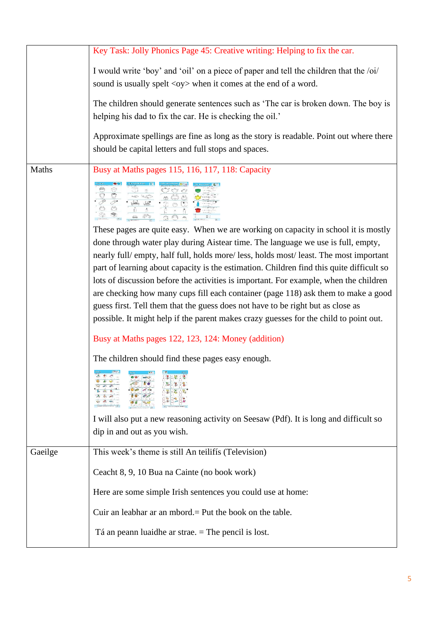|         | Key Task: Jolly Phonics Page 45: Creative writing: Helping to fix the car.                                                                                                                                                                                                                                                                                                                                                                                                                                                                                                                                                                                                                                                                                                 |
|---------|----------------------------------------------------------------------------------------------------------------------------------------------------------------------------------------------------------------------------------------------------------------------------------------------------------------------------------------------------------------------------------------------------------------------------------------------------------------------------------------------------------------------------------------------------------------------------------------------------------------------------------------------------------------------------------------------------------------------------------------------------------------------------|
|         | I would write 'boy' and 'oil' on a piece of paper and tell the children that the /oi/<br>sound is usually spelt <oy> when it comes at the end of a word.</oy>                                                                                                                                                                                                                                                                                                                                                                                                                                                                                                                                                                                                              |
|         | The children should generate sentences such as 'The car is broken down. The boy is<br>helping his dad to fix the car. He is checking the oil.'                                                                                                                                                                                                                                                                                                                                                                                                                                                                                                                                                                                                                             |
|         | Approximate spellings are fine as long as the story is readable. Point out where there<br>should be capital letters and full stops and spaces.                                                                                                                                                                                                                                                                                                                                                                                                                                                                                                                                                                                                                             |
| Maths   | Busy at Maths pages 115, 116, 117, 118: Capacity                                                                                                                                                                                                                                                                                                                                                                                                                                                                                                                                                                                                                                                                                                                           |
|         |                                                                                                                                                                                                                                                                                                                                                                                                                                                                                                                                                                                                                                                                                                                                                                            |
|         | These pages are quite easy. When we are working on capacity in school it is mostly<br>done through water play during Aistear time. The language we use is full, empty,<br>nearly full/empty, half full, holds more/less, holds most/least. The most important<br>part of learning about capacity is the estimation. Children find this quite difficult so<br>lots of discussion before the activities is important. For example, when the children<br>are checking how many cups fill each container (page 118) ask them to make a good<br>guess first. Tell them that the guess does not have to be right but as close as<br>possible. It might help if the parent makes crazy guesses for the child to point out.<br>Busy at Maths pages 122, 123, 124: Money (addition) |
|         | The children should find these pages easy enough.<br>I will also put a new reasoning activity on Seesaw (Pdf). It is long and difficult so<br>dip in and out as you wish.                                                                                                                                                                                                                                                                                                                                                                                                                                                                                                                                                                                                  |
| Gaeilge | This week's theme is still An teilifís (Television)                                                                                                                                                                                                                                                                                                                                                                                                                                                                                                                                                                                                                                                                                                                        |
|         | Ceacht 8, 9, 10 Bua na Cainte (no book work)                                                                                                                                                                                                                                                                                                                                                                                                                                                                                                                                                                                                                                                                                                                               |
|         |                                                                                                                                                                                                                                                                                                                                                                                                                                                                                                                                                                                                                                                                                                                                                                            |
|         | Here are some simple Irish sentences you could use at home:                                                                                                                                                                                                                                                                                                                                                                                                                                                                                                                                                                                                                                                                                                                |
|         | Cuir an leabhar ar an mbord. = Put the book on the table.                                                                                                                                                                                                                                                                                                                                                                                                                                                                                                                                                                                                                                                                                                                  |
|         | Tá an peann luaidhe ar strae. $=$ The pencil is lost.                                                                                                                                                                                                                                                                                                                                                                                                                                                                                                                                                                                                                                                                                                                      |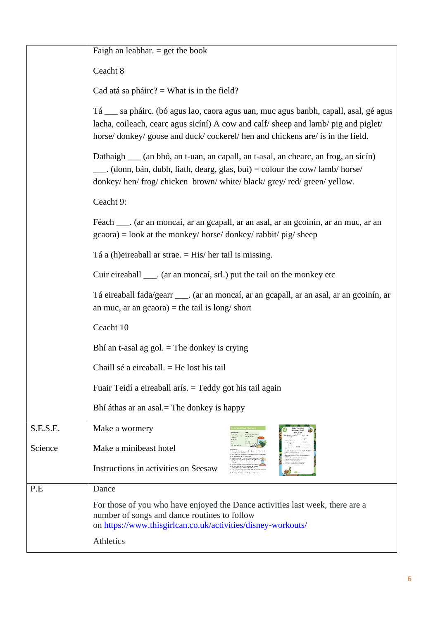|          | Faigh an leabhar. $=$ get the book                                                                                                                                                                                                                       |  |  |  |  |  |
|----------|----------------------------------------------------------------------------------------------------------------------------------------------------------------------------------------------------------------------------------------------------------|--|--|--|--|--|
|          | Ceacht 8                                                                                                                                                                                                                                                 |  |  |  |  |  |
|          | Cad atá sa pháirc? = What is in the field?                                                                                                                                                                                                               |  |  |  |  |  |
|          | Tá __ sa pháirc. (bó agus lao, caora agus uan, muc agus banbh, capall, asal, gé agus<br>lacha, coileach, cearc agus sicíní) A cow and calf/sheep and lamb/pig and piglet/<br>horse/donkey/goose and duck/cockerel/hen and chickens are/ is in the field. |  |  |  |  |  |
|          | Dathaigh ____ (an bhó, an t-uan, an capall, an t-asal, an chearc, an frog, an sicín)<br>(donn, bán, dubh, liath, dearg, glas, buí) = colour the cow/lamb/horse<br>donkey/hen/frog/chicken_brown/white/black/grey/red/green/yellow.                       |  |  |  |  |  |
|          | Ceacht 9:                                                                                                                                                                                                                                                |  |  |  |  |  |
|          | Féach ___. (ar an moncaí, ar an gcapall, ar an asal, ar an gcoinín, ar an muc, ar an<br>$\alpha$ gcaora) = look at the monkey/ horse/ donkey/ rabbit/ pig/ sheep                                                                                         |  |  |  |  |  |
|          | Tá a (h)eireaball ar strae. $=$ His/ her tail is missing.                                                                                                                                                                                                |  |  |  |  |  |
|          | Cuir eireaball ____. (ar an moncaí, srl.) put the tail on the monkey etc                                                                                                                                                                                 |  |  |  |  |  |
|          | Tá eireaball fada/gearr ____. (ar an moncaí, ar an gcapall, ar an asal, ar an gcoinín, ar<br>an muc, ar an $\text{gcaora}$ = the tail is long/ short<br>Ceacht 10                                                                                        |  |  |  |  |  |
|          |                                                                                                                                                                                                                                                          |  |  |  |  |  |
|          | Bhí an t-asal ag gol. $=$ The donkey is crying                                                                                                                                                                                                           |  |  |  |  |  |
|          | Chaill sé a eireaball. $=$ He lost his tail                                                                                                                                                                                                              |  |  |  |  |  |
|          | Fuair Teidí a eireaball arís. = Teddy got his tail again                                                                                                                                                                                                 |  |  |  |  |  |
|          | Bhí áthas ar an asal. The donkey is happy                                                                                                                                                                                                                |  |  |  |  |  |
| S.E.S.E. | Make a wormery                                                                                                                                                                                                                                           |  |  |  |  |  |
| Science  | Make a minibeast hotel                                                                                                                                                                                                                                   |  |  |  |  |  |
|          | Instructions in activities on Seesaw                                                                                                                                                                                                                     |  |  |  |  |  |
| P.E      | Dance                                                                                                                                                                                                                                                    |  |  |  |  |  |
|          | For those of you who have enjoyed the Dance activities last week, there are a<br>number of songs and dance routines to follow<br>on https://www.thisgirlcan.co.uk/activities/disney-workouts/                                                            |  |  |  |  |  |
|          | Athletics                                                                                                                                                                                                                                                |  |  |  |  |  |